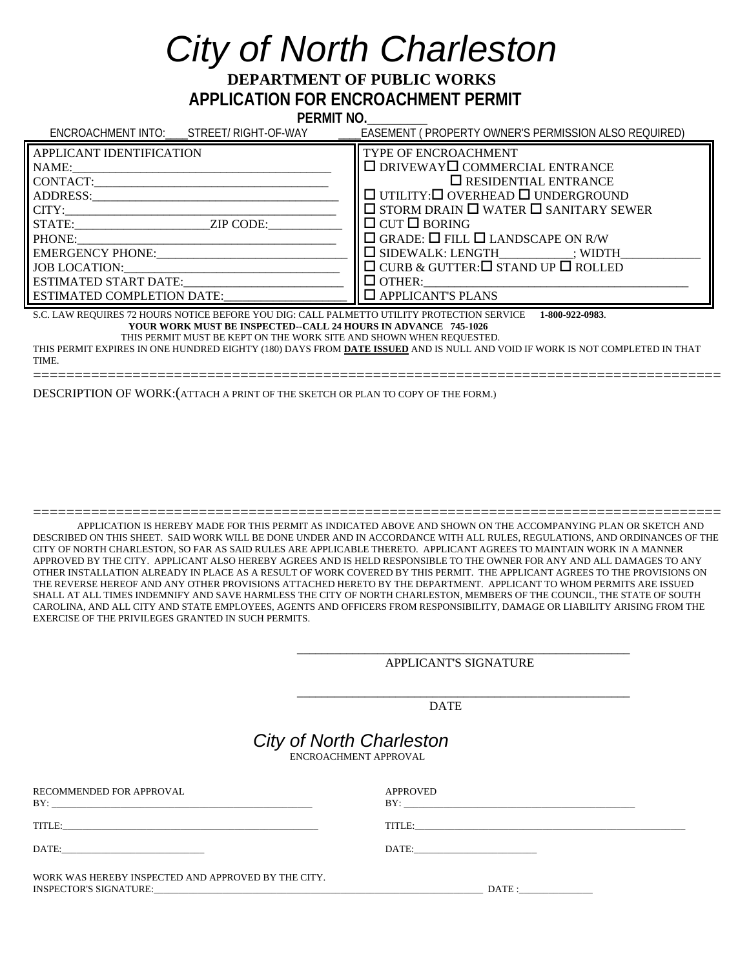## *City of North Charleston*

 **DEPARTMENT OF PUBLIC WORKS APPLICATION FOR ENCROACHMENT PERMIT** 

 **PERMIT NO.\_\_\_\_\_\_\_\_\_** 

| ENCROACHMENT INTO: STREET/RIGHT-OF-WAY                                                                                                                                                                                                                                                                                                                                                    | <b>EASEMENT (PROPERTY OWNER'S PERMISSION ALSO REQUIRED)</b>                                                                                                                                                                                                                                                                                                                                                                                        |  |
|-------------------------------------------------------------------------------------------------------------------------------------------------------------------------------------------------------------------------------------------------------------------------------------------------------------------------------------------------------------------------------------------|----------------------------------------------------------------------------------------------------------------------------------------------------------------------------------------------------------------------------------------------------------------------------------------------------------------------------------------------------------------------------------------------------------------------------------------------------|--|
| APPLICANT IDENTIFICATION<br>NAME:<br>ADDRESS:<br>CITY:<br>STATE: ZIP CODE:<br>PHONE:<br><b>EMERGENCY PHONE:</b><br>JOB LOCATION:<br>ESTIMATED START DATE:<br><b>ESTIMATED COMPLETION DATE:</b>                                                                                                                                                                                            | <b>TYPE OF ENCROACHMENT</b><br>$\Box$ DRIVEWAY $\Box$ COMMERCIAL ENTRANCE<br>$\square$ RESIDENTIAL ENTRANCE<br>$\Box$ UTILITY: $\Box$ OVERHEAD $\Box$ UNDERGROUND<br>$\Box$ STORM DRAIN $\Box$ WATER $\Box$ SANITARY SEWER<br>$\Box$ CUT $\Box$ BORING<br>$\Box$ GRADE: $\Box$ FILL $\Box$ LANDSCAPE ON R/W<br>$\Box$ SIDEWALK: LENGTH ; WIDTH<br>$\Box$ CURB & GUTTER: $\Box$ STAND UP $\Box$ ROLLED<br>$\Box$ OTHER:<br>$\Box$ APPLICANT'S PLANS |  |
| S.C. LAW REQUIRES 72 HOURS NOTICE BEFORE YOU DIG: CALL PALMETTO UTILITY PROTECTION SERVICE 1-800-922-0983.<br>YOUR WORK MUST BE INSPECTED--CALL 24 HOURS IN ADVANCE 745-1026<br>THIS PERMIT MUST BE KEPT ON THE WORK SITE AND SHOWN WHEN REQUESTED.<br>THIS PERMIT EXPIRES IN ONE HUNDRED EIGHTY (180) DAYS FROM <b>DATE ISSUED</b> AND IS NULL AND VOID IE WORK IS NOT COMPLETED IN THAT |                                                                                                                                                                                                                                                                                                                                                                                                                                                    |  |

THIS PERMIT EXPIRES IN ONE HUNDRED EIGHTY (180) DAYS FROM **DATE ISSUED** AND IS NULL AND VOID IF WORK IS NOT COMPLETED IN THAT TIME. ===================================================================================

DESCRIPTION OF WORK:(ATTACH A PRINT OF THE SKETCH OR PLAN TO COPY OF THE FORM.)

=================================================================================== APPLICATION IS HEREBY MADE FOR THIS PERMIT AS INDICATED ABOVE AND SHOWN ON THE ACCOMPANYING PLAN OR SKETCH AND DESCRIBED ON THIS SHEET. SAID WORK WILL BE DONE UNDER AND IN ACCORDANCE WITH ALL RULES, REGULATIONS, AND ORDINANCES OF THE CITY OF NORTH CHARLESTON, SO FAR AS SAID RULES ARE APPLICABLE THERETO. APPLICANT AGREES TO MAINTAIN WORK IN A MANNER APPROVED BY THE CITY. APPLICANT ALSO HEREBY AGREES AND IS HELD RESPONSIBLE TO THE OWNER FOR ANY AND ALL DAMAGES TO ANY OTHER INSTALLATION ALREADY IN PLACE AS A RESULT OF WORK COVERED BY THIS PERMIT. THE APPLICANT AGREES TO THE PROVISIONS ON THE REVERSE HEREOF AND ANY OTHER PROVISIONS ATTACHED HERETO BY THE DEPARTMENT. APPLICANT TO WHOM PERMITS ARE ISSUED SHALL AT ALL TIMES INDEMNIFY AND SAVE HARMLESS THE CITY OF NORTH CHARLESTON, MEMBERS OF THE COUNCIL, THE STATE OF SOUTH CAROLINA, AND ALL CITY AND STATE EMPLOYEES, AGENTS AND OFFICERS FROM RESPONSIBILITY, DAMAGE OR LIABILITY ARISING FROM THE EXERCISE OF THE PRIVILEGES GRANTED IN SUCH PERMITS.

APPLICANT'S SIGNATURE

DATE

## *City of North Charleston*<br>ENCROACHMENT APPROVAL

 $\frac{1}{\sqrt{2\pi}}$  ,  $\frac{1}{\sqrt{2\pi}}$  ,  $\frac{1}{\sqrt{2\pi}}$  ,  $\frac{1}{\sqrt{2\pi}}$  ,  $\frac{1}{\sqrt{2\pi}}$  ,  $\frac{1}{\sqrt{2\pi}}$  ,  $\frac{1}{\sqrt{2\pi}}$  ,  $\frac{1}{\sqrt{2\pi}}$  ,  $\frac{1}{\sqrt{2\pi}}$  ,  $\frac{1}{\sqrt{2\pi}}$  ,  $\frac{1}{\sqrt{2\pi}}$  ,  $\frac{1}{\sqrt{2\pi}}$  ,  $\frac{1}{\sqrt{2\pi}}$  ,

 $\frac{1}{2}$  ,  $\frac{1}{2}$  ,  $\frac{1}{2}$  ,  $\frac{1}{2}$  ,  $\frac{1}{2}$  ,  $\frac{1}{2}$  ,  $\frac{1}{2}$  ,  $\frac{1}{2}$  ,  $\frac{1}{2}$  ,  $\frac{1}{2}$  ,  $\frac{1}{2}$  ,  $\frac{1}{2}$  ,  $\frac{1}{2}$  ,  $\frac{1}{2}$  ,  $\frac{1}{2}$  ,  $\frac{1}{2}$  ,  $\frac{1}{2}$  ,  $\frac{1}{2}$  ,  $\frac{1$ 

| RECOMMENDED FOR APPROVAL                            | APPROVED<br>BY: $\qquad \qquad \qquad$ |
|-----------------------------------------------------|----------------------------------------|
| TITLE:                                              | TITLE: TITLE:                          |
| DATE: _________________________                     |                                        |
| WORK WAS HEREBY INSPECTED AND APPROVED BY THE CITY. | DATE :                                 |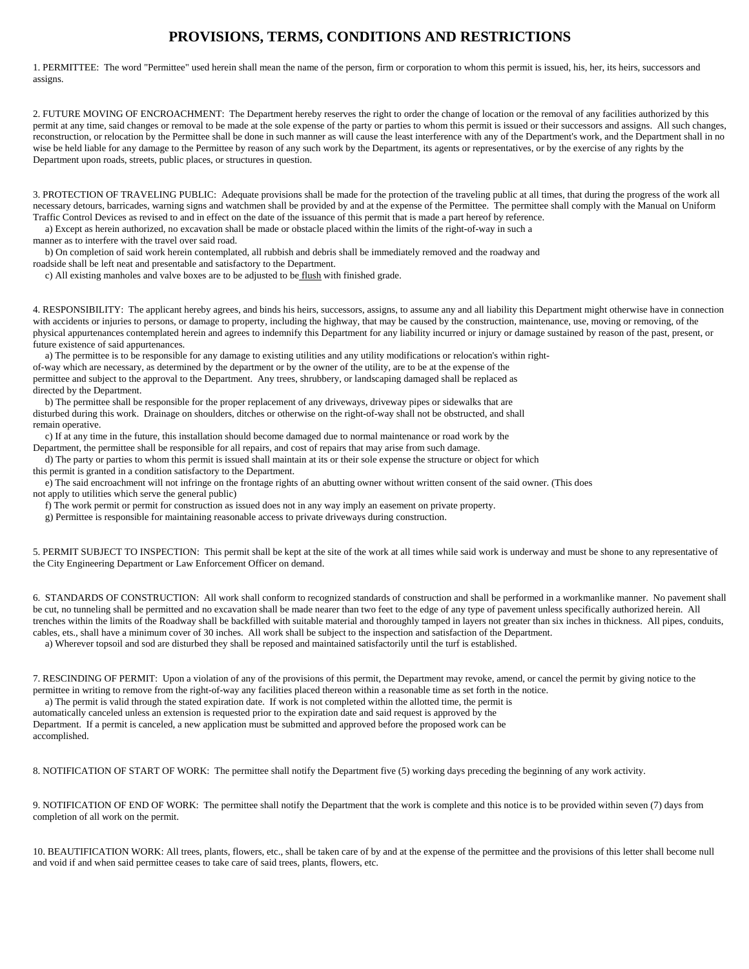## **PROVISIONS, TERMS, CONDITIONS AND RESTRICTIONS**

1. PERMITTEE: The word "Permittee" used herein shall mean the name of the person, firm or corporation to whom this permit is issued, his, her, its heirs, successors and assigns.

2. FUTURE MOVING OF ENCROACHMENT: The Department hereby reserves the right to order the change of location or the removal of any facilities authorized by this permit at any time, said changes or removal to be made at the sole expense of the party or parties to whom this permit is issued or their successors and assigns. All such changes, reconstruction, or relocation by the Permittee shall be done in such manner as will cause the least interference with any of the Department's work, and the Department shall in no wise be held liable for any damage to the Permittee by reason of any such work by the Department, its agents or representatives, or by the exercise of any rights by the Department upon roads, streets, public places, or structures in question.

3. PROTECTION OF TRAVELING PUBLIC: Adequate provisions shall be made for the protection of the traveling public at all times, that during the progress of the work all necessary detours, barricades, warning signs and watchmen shall be provided by and at the expense of the Permittee. The permittee shall comply with the Manual on Uniform Traffic Control Devices as revised to and in effect on the date of the issuance of this permit that is made a part hereof by reference.

a) Except as herein authorized, no excavation shall be made or obstacle placed within the limits of the right-of-way in such a

manner as to interfere with the travel over said road.

b) On completion of said work herein contemplated, all rubbish and debris shall be immediately removed and the roadway and

roadside shall be left neat and presentable and satisfactory to the Department.

c) All existing manholes and valve boxes are to be adjusted to be flush with finished grade.

4. RESPONSIBILITY: The applicant hereby agrees, and binds his heirs, successors, assigns, to assume any and all liability this Department might otherwise have in connection with accidents or injuries to persons, or damage to property, including the highway, that may be caused by the construction, maintenance, use, moving or removing, of the physical appurtenances contemplated herein and agrees to indemnify this Department for any liability incurred or injury or damage sustained by reason of the past, present, or future existence of said appurtenances.

 a) The permittee is to be responsible for any damage to existing utilities and any utility modifications or relocation's within rightof-way which are necessary, as determined by the department or by the owner of the utility, are to be at the expense of the permittee and subject to the approval to the Department. Any trees, shrubbery, or landscaping damaged shall be replaced as directed by the Department.

 b) The permittee shall be responsible for the proper replacement of any driveways, driveway pipes or sidewalks that are disturbed during this work. Drainage on shoulders, ditches or otherwise on the right-of-way shall not be obstructed, and shall remain operative.

 c) If at any time in the future, this installation should become damaged due to normal maintenance or road work by the Department, the permittee shall be responsible for all repairs, and cost of repairs that may arise from such damage.

 d) The party or parties to whom this permit is issued shall maintain at its or their sole expense the structure or object for which this permit is granted in a condition satisfactory to the Department.

e) The said encroachment will not infringe on the frontage rights of an abutting owner without written consent of the said owner. (This does

not apply to utilities which serve the general public)

f) The work permit or permit for construction as issued does not in any way imply an easement on private property.

g) Permittee is responsible for maintaining reasonable access to private driveways during construction.

5. PERMIT SUBJECT TO INSPECTION: This permit shall be kept at the site of the work at all times while said work is underway and must be shone to any representative of the City Engineering Department or Law Enforcement Officer on demand.

6. STANDARDS OF CONSTRUCTION: All work shall conform to recognized standards of construction and shall be performed in a workmanlike manner. No pavement shall be cut, no tunneling shall be permitted and no excavation shall be made nearer than two feet to the edge of any type of pavement unless specifically authorized herein. All trenches within the limits of the Roadway shall be backfilled with suitable material and thoroughly tamped in layers not greater than six inches in thickness. All pipes, conduits, cables, ets., shall have a minimum cover of 30 inches. All work shall be subject to the inspection and satisfaction of the Department.

a) Wherever topsoil and sod are disturbed they shall be reposed and maintained satisfactorily until the turf is established.

7. RESCINDING OF PERMIT: Upon a violation of any of the provisions of this permit, the Department may revoke, amend, or cancel the permit by giving notice to the permittee in writing to remove from the right-of-way any facilities placed thereon within a reasonable time as set forth in the notice.

a) The permit is valid through the stated expiration date. If work is not completed within the allotted time, the permit is

automatically canceled unless an extension is requested prior to the expiration date and said request is approved by the Department. If a permit is canceled, a new application must be submitted and approved before the proposed work can be accomplished.

8. NOTIFICATION OF START OF WORK: The permittee shall notify the Department five (5) working days preceding the beginning of any work activity.

9. NOTIFICATION OF END OF WORK: The permittee shall notify the Department that the work is complete and this notice is to be provided within seven (7) days from completion of all work on the permit.

10. BEAUTIFICATION WORK: All trees, plants, flowers, etc., shall be taken care of by and at the expense of the permittee and the provisions of this letter shall become null and void if and when said permittee ceases to take care of said trees, plants, flowers, etc.